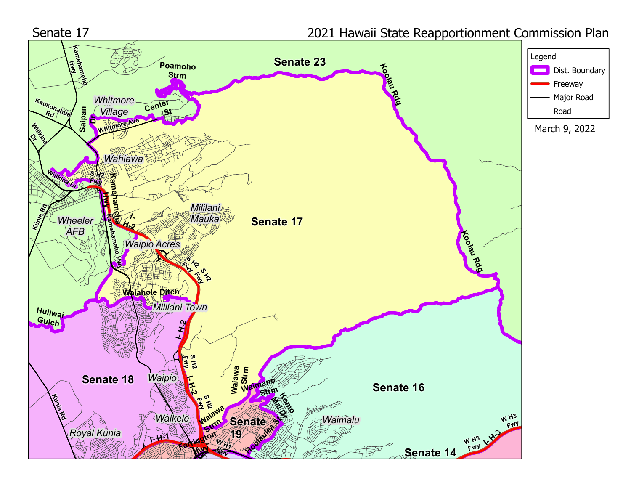